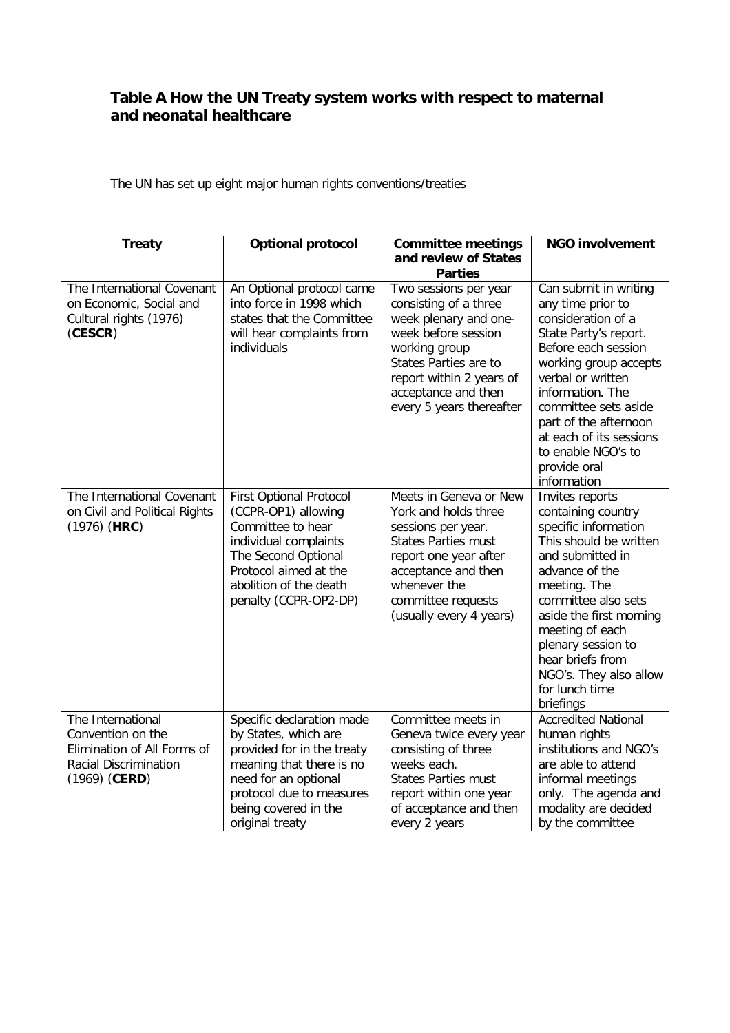## **Table A How the UN Treaty system works with respect to maternal and neonatal healthcare**

The UN has set up eight major human rights conventions/treaties

| <b>Treaty</b>                                                                                                     | <b>Optional protocol</b>                                                                                                                                                                                   | <b>Committee meetings</b>                                                                                                                                                                                               | <b>NGO involvement</b>                                                                                                                                                                                                                                                                                                |
|-------------------------------------------------------------------------------------------------------------------|------------------------------------------------------------------------------------------------------------------------------------------------------------------------------------------------------------|-------------------------------------------------------------------------------------------------------------------------------------------------------------------------------------------------------------------------|-----------------------------------------------------------------------------------------------------------------------------------------------------------------------------------------------------------------------------------------------------------------------------------------------------------------------|
|                                                                                                                   |                                                                                                                                                                                                            | and review of States<br><b>Parties</b>                                                                                                                                                                                  |                                                                                                                                                                                                                                                                                                                       |
| The International Covenant<br>on Economic, Social and<br>Cultural rights (1976)<br>(CESCR)                        | An Optional protocol came<br>into force in 1998 which<br>states that the Committee<br>will hear complaints from<br>individuals                                                                             | Two sessions per year<br>consisting of a three<br>week plenary and one-<br>week before session<br>working group<br>States Parties are to<br>report within 2 years of<br>acceptance and then<br>every 5 years thereafter | Can submit in writing<br>any time prior to<br>consideration of a<br>State Party's report.<br>Before each session<br>working group accepts<br>verbal or written<br>information. The<br>committee sets aside<br>part of the afternoon<br>at each of its sessions<br>to enable NGO's to<br>provide oral<br>information   |
| The International Covenant<br>on Civil and Political Rights<br>$(1976)$ (HRC)                                     | <b>First Optional Protocol</b><br>(CCPR-OP1) allowing<br>Committee to hear<br>individual complaints<br>The Second Optional<br>Protocol aimed at the<br>abolition of the death<br>penalty (CCPR-OP2-DP)     | Meets in Geneva or New<br>York and holds three<br>sessions per year.<br>States Parties must<br>report one year after<br>acceptance and then<br>whenever the<br>committee requests<br>(usually every 4 years)            | Invites reports<br>containing country<br>specific information<br>This should be written<br>and submitted in<br>advance of the<br>meeting. The<br>committee also sets<br>aside the first morning<br>meeting of each<br>plenary session to<br>hear briefs from<br>NGO's. They also allow<br>for lunch time<br>briefings |
| The International<br>Convention on the<br>Elimination of All Forms of<br>Racial Discrimination<br>$(1969)$ (CERD) | Specific declaration made<br>by States, which are<br>provided for in the treaty<br>meaning that there is no<br>need for an optional<br>protocol due to measures<br>being covered in the<br>original treaty | Committee meets in<br>Geneva twice every year<br>consisting of three<br>weeks each.<br><b>States Parties must</b><br>report within one year<br>of acceptance and then<br>every 2 years                                  | <b>Accredited National</b><br>human rights<br>institutions and NGO's<br>are able to attend<br>informal meetings<br>only. The agenda and<br>modality are decided<br>by the committee                                                                                                                                   |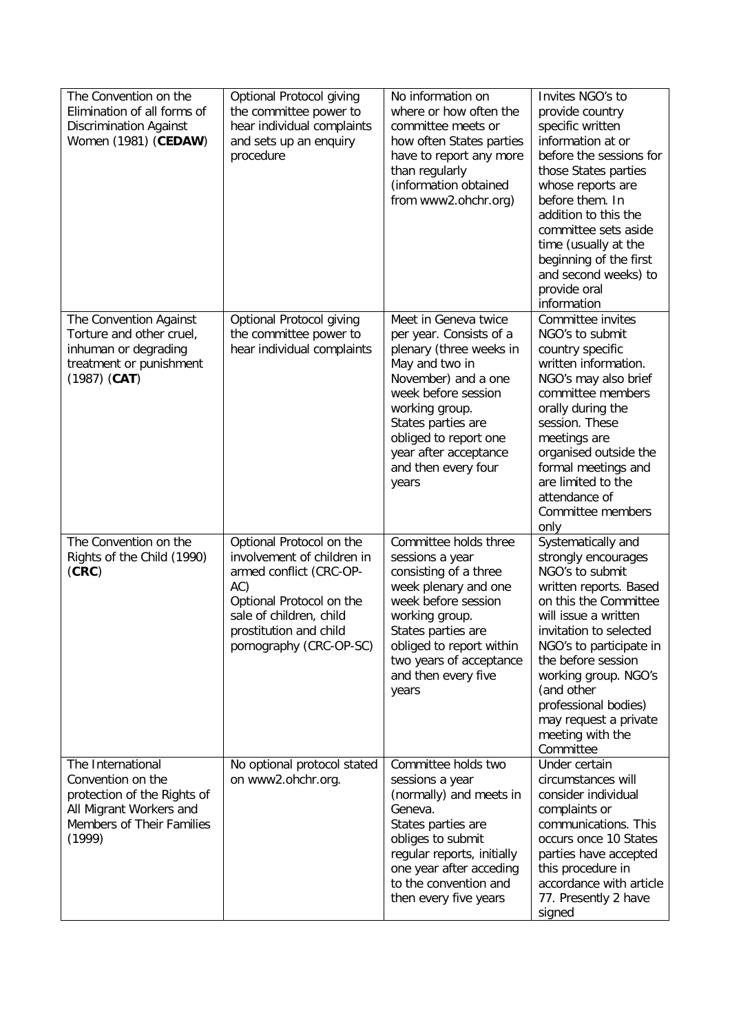| The Convention on the<br>Elimination of all forms of<br><b>Discrimination Against</b><br>Women (1981) (CEDAW)                           | Optional Protocol giving<br>the committee power to<br>hear individual complaints<br>and sets up an enquiry<br>procedure                                                                              | No information on<br>where or how often the<br>committee meets or<br>how often States parties<br>have to report any more<br>than regularly<br>(information obtained<br>from www2.ohchr.org)                                                                          | Invites NGO's to<br>provide country<br>specific written<br>information at or<br>before the sessions for<br>those States parties<br>whose reports are<br>before them. In<br>addition to this the<br>committee sets aside<br>time (usually at the<br>beginning of the first<br>and second weeks) to<br>provide oral<br>information           |
|-----------------------------------------------------------------------------------------------------------------------------------------|------------------------------------------------------------------------------------------------------------------------------------------------------------------------------------------------------|----------------------------------------------------------------------------------------------------------------------------------------------------------------------------------------------------------------------------------------------------------------------|--------------------------------------------------------------------------------------------------------------------------------------------------------------------------------------------------------------------------------------------------------------------------------------------------------------------------------------------|
| The Convention Against<br>Torture and other cruel,<br>inhuman or degrading<br>treatment or punishment<br>$(1987)$ (CAT)                 | Optional Protocol giving<br>the committee power to<br>hear individual complaints                                                                                                                     | Meet in Geneva twice<br>per year. Consists of a<br>plenary (three weeks in<br>May and two in<br>November) and a one<br>week before session<br>working group.<br>States parties are<br>obliged to report one<br>year after acceptance<br>and then every four<br>years | Committee invites<br>NGO's to submit<br>country specific<br>written information.<br>NGO's may also brief<br>committee members<br>orally during the<br>session. These<br>meetings are<br>organised outside the<br>formal meetings and<br>are limited to the<br>attendance of<br>Committee members<br>only                                   |
| The Convention on the<br>Rights of the Child (1990)<br>(CRC)                                                                            | Optional Protocol on the<br>involvement of children in<br>armed conflict (CRC-OP-<br>AC)<br>Optional Protocol on the<br>sale of children, child<br>prostitution and child<br>pornography (CRC-OP-SC) | Committee holds three<br>sessions a year<br>consisting of a three<br>week plenary and one<br>week before session<br>working group.<br>States parties are<br>obliged to report within<br>two years of acceptance<br>and then every five<br>years                      | Systematically and<br>strongly encourages<br>NGO's to submit<br>written reports. Based<br>on this the Committee<br>will issue a written<br>invitation to selected<br>NGO's to participate in<br>the before session<br>working group. NGO's<br>(and other<br>professional bodies)<br>may request a private<br>meeting with the<br>Committee |
| The International<br>Convention on the<br>protection of the Rights of<br>All Migrant Workers and<br>Members of Their Families<br>(1999) | No optional protocol stated<br>on www2.ohchr.org.                                                                                                                                                    | Committee holds two<br>sessions a year<br>(normally) and meets in<br>Geneva.<br>States parties are<br>obliges to submit<br>regular reports, initially<br>one year after acceding<br>to the convention and<br>then every five years                                   | Under certain<br>circumstances will<br>consider individual<br>complaints or<br>communications. This<br>occurs once 10 States<br>parties have accepted<br>this procedure in<br>accordance with article<br>77. Presently 2 have<br>signed                                                                                                    |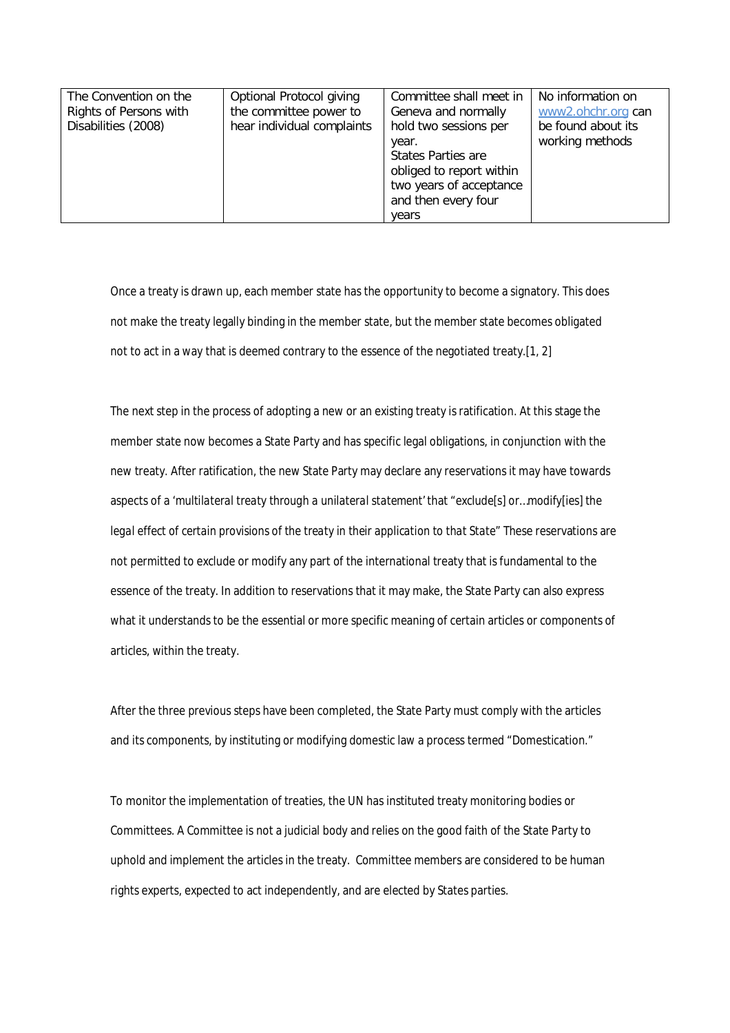| The Convention on the  | Optional Protocol giving   | Committee shall meet in  | No information on  |
|------------------------|----------------------------|--------------------------|--------------------|
| Rights of Persons with | the committee power to     | Geneva and normally      | www2.ohchr.org can |
| Disabilities (2008)    | hear individual complaints | hold two sessions per    | be found about its |
|                        |                            | year.                    | working methods    |
|                        |                            | States Parties are       |                    |
|                        |                            | obliged to report within |                    |
|                        |                            | two years of acceptance  |                    |
|                        |                            | and then every four      |                    |
|                        |                            | vears                    |                    |

Once a treaty is drawn up, each member state has the opportunity to become a signatory. This does not make the treaty legally binding in the member state, but the member state becomes obligated not to act in a way that is deemed contrary to the essence of the negotiated treaty.[1, 2]

The next step in the process of adopting a new or an existing treaty is ratification. At this stage the member state now becomes a State Party and has specific legal obligations, in conjunction with the new treaty. After ratification, the new State Party may declare any reservations it may have towards aspects of a '*multilateral treaty through a unilateral statement*'that *"exclude[s] or…modify[ies] the legal effect of certain provisions of the treaty in their application to that State"* These reservations are not permitted to exclude or modify any part of the international treaty that is fundamental to the essence of the treaty. In addition to reservations that it may make, the State Party can also express what it understands to be the essential or more specific meaning of certain articles or components of articles, within the treaty.

After the three previous steps have been completed, the State Party must comply with the articles and its components, by instituting or modifying domestic law a process termed "Domestication."

To monitor the implementation of treaties, the UN has instituted treaty monitoring bodies or Committees. A Committee is not a judicial body and relies on the good faith of the State Party to uphold and implement the articles in the treaty. Committee members are considered to be human rights experts, expected to act independently, and are elected by States parties.